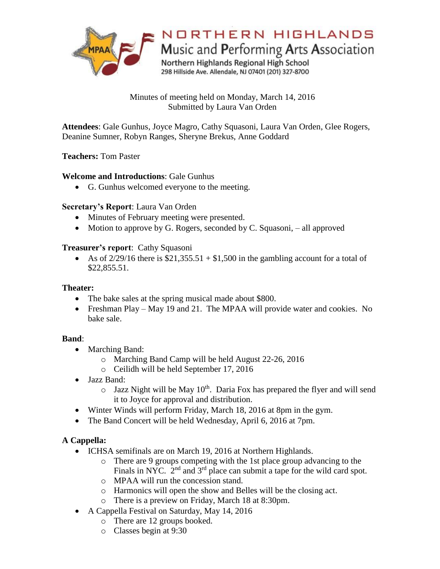

Minutes of meeting held on Monday, March 14, 2016 Submitted by Laura Van Orden

**Attendees**: Gale Gunhus, Joyce Magro, Cathy Squasoni, Laura Van Orden, Glee Rogers, Deanine Sumner, Robyn Ranges, Sheryne Brekus, Anne Goddard

## **Teachers:** Tom Paster

## **Welcome and Introductions**: Gale Gunhus

G. Gunhus welcomed everyone to the meeting.

## **Secretary's Report**: Laura Van Orden

- Minutes of February meeting were presented.
- $\bullet$  Motion to approve by G. Rogers, seconded by C. Squasoni, all approved

## **Treasurer's report**: Cathy Squasoni

As of  $\frac{2}{29/16}$  there is \$21,355.51 + \$1,500 in the gambling account for a total of \$22,855.51.

#### **Theater:**

- The bake sales at the spring musical made about \$800.
- Freshman Play May 19 and 21. The MPAA will provide water and cookies. No bake sale.

#### **Band**:

- Marching Band:
	- o Marching Band Camp will be held August 22-26, 2016
	- o Ceilidh will be held September 17, 2016
- Jazz Band:
	- $\circ$  Jazz Night will be May 10<sup>th</sup>. Daria Fox has prepared the flyer and will send it to Joyce for approval and distribution.
- Winter Winds will perform Friday, March 18, 2016 at 8pm in the gym.
- The Band Concert will be held Wednesday, April 6, 2016 at 7pm.

## **A Cappella:**

- ICHSA semifinals are on March 19, 2016 at Northern Highlands.
	- o There are 9 groups competing with the 1st place group advancing to the Finals in NYC. 2<sup>nd</sup> and 3<sup>rd</sup> place can submit a tape for the wild card spot.
	- o MPAA will run the concession stand.
	- o Harmonics will open the show and Belles will be the closing act.
	- o There is a preview on Friday, March 18 at 8:30pm.
- A Cappella Festival on Saturday, May 14, 2016
	- o There are 12 groups booked.
	- o Classes begin at 9:30